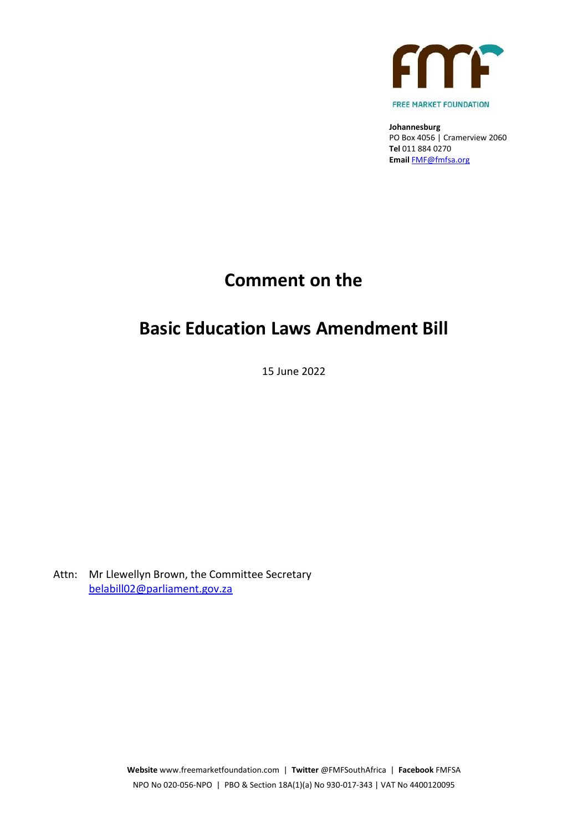

**Johannesburg** PO Box 4056 | Cramerview 2060 **Tel** 011 884 0270 **Email** [FMF@fmfsa.org](mailto:FMF@fmfsa.org)

# **Comment on the**

# **Basic Education Laws Amendment Bill**

15 June 2022

Attn: Mr Llewellyn Brown, the Committee Secretary [belabill02@parliament.gov.za](mailto:belabill02@parliament.gov.za)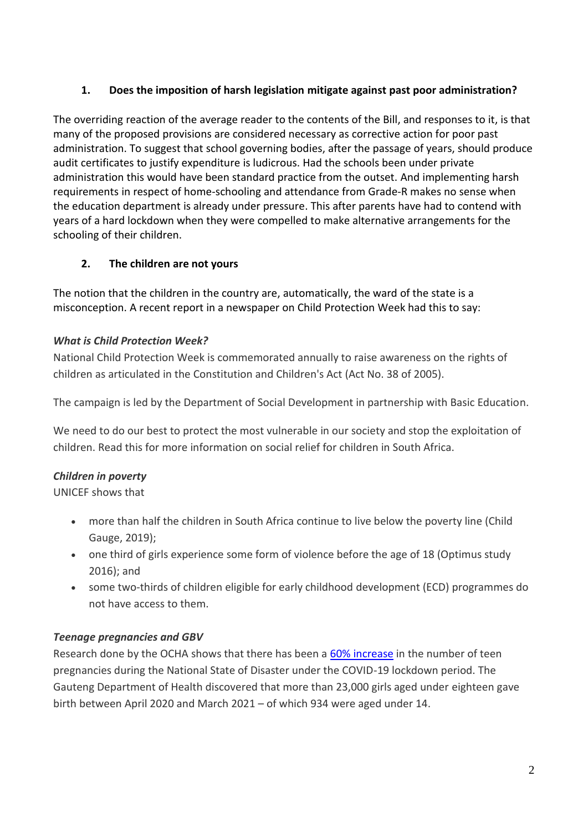#### **1. Does the imposition of harsh legislation mitigate against past poor administration?**

The overriding reaction of the average reader to the contents of the Bill, and responses to it, is that many of the proposed provisions are considered necessary as corrective action for poor past administration. To suggest that school governing bodies, after the passage of years, should produce audit certificates to justify expenditure is ludicrous. Had the schools been under private administration this would have been standard practice from the outset. And implementing harsh requirements in respect of home-schooling and attendance from Grade-R makes no sense when the education department is already under pressure. This after parents have had to contend with years of a hard lockdown when they were compelled to make alternative arrangements for the schooling of their children.

#### **2. The children are not yours**

The notion that the children in the country are, automatically, the ward of the state is a misconception. A recent report in a newspaper on Child Protection Week had this to say:

#### *What is Child Protection Week?*

National Child Protection Week is commemorated annually to raise awareness on the rights of children as articulated in the Constitution and Children's Act (Act No. 38 of 2005).

The campaign is led by the Department of Social Development in partnership with Basic Education.

We need to do our best to protect the most vulnerable in our society and stop the exploitation of children. Read this for more information on social relief for children in South Africa.

#### *Children in poverty*

UNICEF shows that

- more than half the children in South Africa continue to live below the poverty line (Child Gauge, 2019);
- one third of girls experience some form of violence before the age of 18 (Optimus study 2016); and
- some two-thirds of children eligible for early childhood development (ECD) programmes do not have access to them.

# *Teenage pregnancies and GBV*

Research done by the OCHA shows that there has been a 60% [increase](https://reliefweb.int/report/south-africa/teen-pregnancies-south-africa-jump-60-during-covid-19-pandemic) in the number of teen pregnancies during the National State of Disaster under the COVID-19 lockdown period. The Gauteng Department of Health discovered that more than 23,000 girls aged under eighteen gave birth between April 2020 and March 2021 – of which 934 were aged under 14.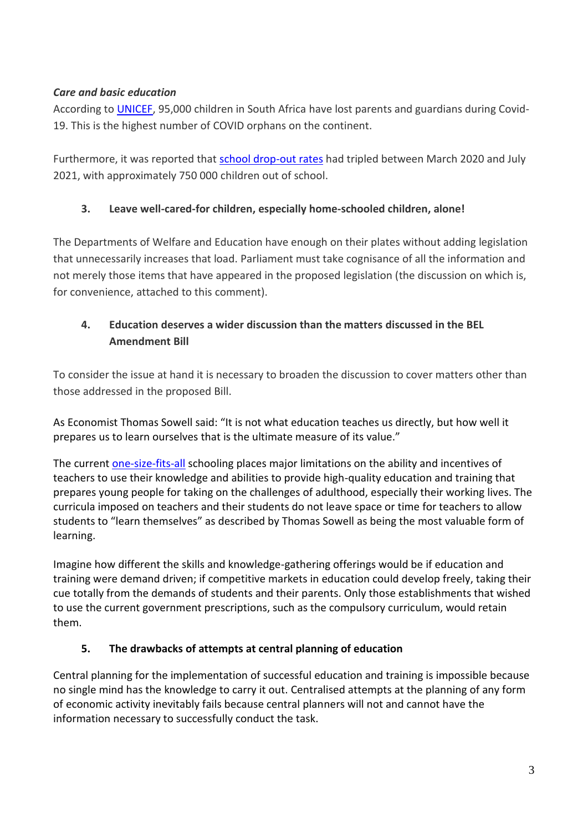#### *Care and basic education*

According to **UNICEF**, 95,000 children in South Africa have lost parents and guardians during Covid-19. This is the highest number of COVID orphans on the continent.

Furthermore, it was reported that school [drop-out](https://www.news24.com/news24/africa/news/rate-of-school-dropouts-tripled-in-sa-due-to-covid-19-unicef-report-20220331) rates had tripled between March 2020 and July 2021, with approximately 750 000 children out of school.

#### **3. Leave well-cared-for children, especially home-schooled children, alone!**

The Departments of Welfare and Education have enough on their plates without adding legislation that unnecessarily increases that load. Parliament must take cognisance of all the information and not merely those items that have appeared in the proposed legislation (the discussion on which is, for convenience, attached to this comment).

# **4. Education deserves a wider discussion than the matters discussed in the BEL Amendment Bill**

To consider the issue at hand it is necessary to broaden the discussion to cover matters other than those addressed in the proposed Bill.

As Economist Thomas Sowell said: "It is not what education teaches us directly, but how well it prepares us to learn ourselves that is the ultimate measure of its value."

The current [one-size-fits-all](https://www.semanticscholar.org/paper/One-Size-Fits-All-%3A-Models-of-Education-%2C-and-South-Workman/2c1875f89f94d811632d9e1d8eab161ab72b634f) schooling places major limitations on the ability and incentives of teachers to use their knowledge and abilities to provide high-quality education and training that prepares young people for taking on the challenges of adulthood, especially their working lives. The curricula imposed on teachers and their students do not leave space or time for teachers to allow students to "learn themselves" as described by Thomas Sowell as being the most valuable form of learning.

Imagine how different the skills and knowledge-gathering offerings would be if education and training were demand driven; if competitive markets in education could develop freely, taking their cue totally from the demands of students and their parents. Only those establishments that wished to use the current government prescriptions, such as the compulsory curriculum, would retain them.

# **5. The drawbacks of attempts at central planning of education**

Central planning for the implementation of successful education and training is impossible because no single mind has the knowledge to carry it out. Centralised attempts at the planning of any form of economic activity inevitably fails because central planners will not and cannot have the information necessary to successfully conduct the task.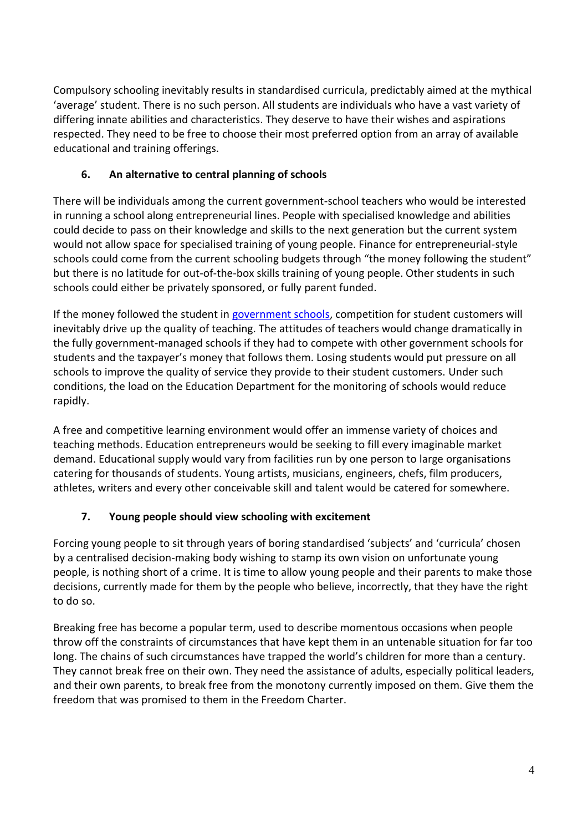Compulsory schooling inevitably results in standardised curricula, predictably aimed at the mythical 'average' student. There is no such person. All students are individuals who have a vast variety of differing innate abilities and characteristics. They deserve to have their wishes and aspirations respected. They need to be free to choose their most preferred option from an array of available educational and training offerings.

#### **6. An alternative to central planning of schools**

There will be individuals among the current government-school teachers who would be interested in running a school along entrepreneurial lines. People with specialised knowledge and abilities could decide to pass on their knowledge and skills to the next generation but the current system would not allow space for specialised training of young people. Finance for entrepreneurial-style schools could come from the current schooling budgets through "the money following the student" but there is no latitude for out-of-the-box skills training of young people. Other students in such schools could either be privately sponsored, or fully parent funded.

If the money followed the student in [government](https://www.biznews.com/thought-leaders/2021/08/31/critical-race-theory-schools) schools, competition for student customers will inevitably drive up the quality of teaching. The attitudes of teachers would change dramatically in the fully government-managed schools if they had to compete with other government schools for students and the taxpayer's money that follows them. Losing students would put pressure on all schools to improve the quality of service they provide to their student customers. Under such conditions, the load on the Education Department for the monitoring of schools would reduce rapidly.

A free and competitive learning environment would offer an immense variety of choices and teaching methods. Education entrepreneurs would be seeking to fill every imaginable market demand. Educational supply would vary from facilities run by one person to large organisations catering for thousands of students. Young artists, musicians, engineers, chefs, film producers, athletes, writers and every other conceivable skill and talent would be catered for somewhere.

# **7. Young people should view schooling with excitement**

Forcing young people to sit through years of boring standardised 'subjects' and 'curricula' chosen by a centralised decision-making body wishing to stamp its own vision on unfortunate young people, is nothing short of a crime. It is time to allow young people and their parents to make those decisions, currently made for them by the people who believe, incorrectly, that they have the right to do so.

Breaking free has become a popular term, used to describe momentous occasions when people throw off the constraints of circumstances that have kept them in an untenable situation for far too long. The chains of such circumstances have trapped the world's children for more than a century. They cannot break free on their own. They need the assistance of adults, especially political leaders, and their own parents, to break free from the monotony currently imposed on them. Give them the freedom that was promised to them in the Freedom Charter.